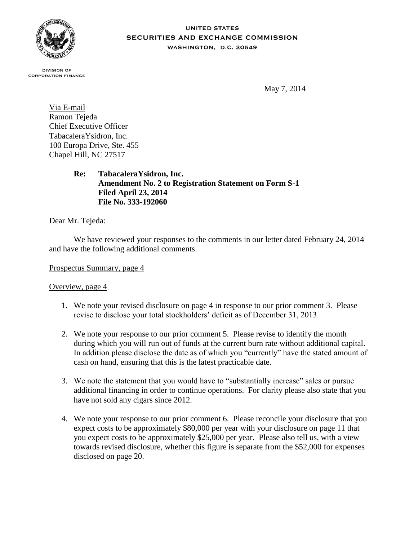

#### **UNITED STATES SECURITIES AND EXCHANGE COMMISSION** WASHINGTON, D.C. 20549

**DIVISION OF CORPORATION FINANCE** 

May 7, 2014

Via E-mail Ramon Tejeda Chief Executive Officer TabacaleraYsidron, Inc. 100 Europa Drive, Ste. 455 Chapel Hill, NC 27517

> **Re: TabacaleraYsidron, Inc. Amendment No. 2 to Registration Statement on Form S-1 Filed April 23, 2014 File No. 333-192060**

Dear Mr. Tejeda:

We have reviewed your responses to the comments in our letter dated February 24, 2014 and have the following additional comments.

Prospectus Summary, page 4

## Overview, page 4

- 1. We note your revised disclosure on page 4 in response to our prior comment 3. Please revise to disclose your total stockholders' deficit as of December 31, 2013.
- 2. We note your response to our prior comment 5. Please revise to identify the month during which you will run out of funds at the current burn rate without additional capital. In addition please disclose the date as of which you "currently" have the stated amount of cash on hand, ensuring that this is the latest practicable date.
- 3. We note the statement that you would have to "substantially increase" sales or pursue additional financing in order to continue operations. For clarity please also state that you have not sold any cigars since 2012.
- 4. We note your response to our prior comment 6. Please reconcile your disclosure that you expect costs to be approximately \$80,000 per year with your disclosure on page 11 that you expect costs to be approximately \$25,000 per year. Please also tell us, with a view towards revised disclosure, whether this figure is separate from the \$52,000 for expenses disclosed on page 20.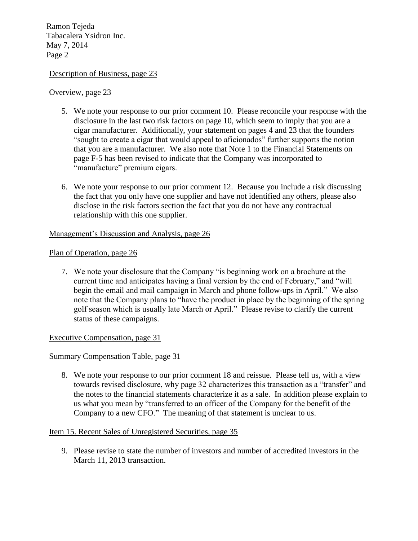Ramon Tejeda Tabacalera Ysidron Inc. May 7, 2014 Page 2

## Description of Business, page 23

#### Overview, page 23

- 5. We note your response to our prior comment 10. Please reconcile your response with the disclosure in the last two risk factors on page 10, which seem to imply that you are a cigar manufacturer. Additionally, your statement on pages 4 and 23 that the founders "sought to create a cigar that would appeal to aficionados" further supports the notion that you are a manufacturer. We also note that Note 1 to the Financial Statements on page F-5 has been revised to indicate that the Company was incorporated to "manufacture" premium cigars.
- 6. We note your response to our prior comment 12. Because you include a risk discussing the fact that you only have one supplier and have not identified any others, please also disclose in the risk factors section the fact that you do not have any contractual relationship with this one supplier.

## Management's Discussion and Analysis, page 26

#### Plan of Operation, page 26

7. We note your disclosure that the Company "is beginning work on a brochure at the current time and anticipates having a final version by the end of February," and "will begin the email and mail campaign in March and phone follow-ups in April." We also note that the Company plans to "have the product in place by the beginning of the spring golf season which is usually late March or April." Please revise to clarify the current status of these campaigns.

Executive Compensation, page 31

## Summary Compensation Table, page 31

8. We note your response to our prior comment 18 and reissue. Please tell us, with a view towards revised disclosure, why page 32 characterizes this transaction as a "transfer" and the notes to the financial statements characterize it as a sale. In addition please explain to us what you mean by "transferred to an officer of the Company for the benefit of the Company to a new CFO." The meaning of that statement is unclear to us.

## Item 15. Recent Sales of Unregistered Securities, page 35

9. Please revise to state the number of investors and number of accredited investors in the March 11, 2013 transaction.